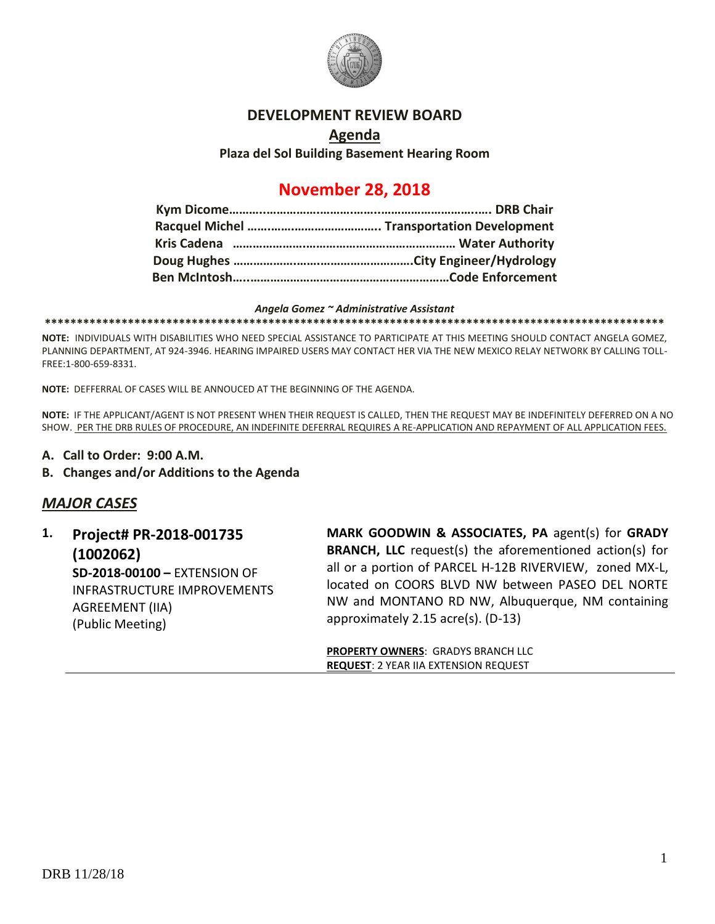

#### **DEVELOPMENT REVIEW BOARD**

### **Agenda Plaza del Sol Building Basement Hearing Room**

## **November 28, 2018**

#### *Angela Gomez ~ Administrative Assistant*

**\*\*\*\*\*\*\*\*\*\*\*\*\*\*\*\*\*\*\*\*\*\*\*\*\*\*\*\*\*\*\*\*\*\*\*\*\*\*\*\*\*\*\*\*\*\*\*\*\*\*\*\*\*\*\*\*\*\*\*\*\*\*\*\*\*\*\*\*\*\*\*\*\*\*\*\*\*\*\*\*\*\*\*\*\*\*\*\*\*\*\*\*\*\*\*\*\***

**NOTE:** INDIVIDUALS WITH DISABILITIES WHO NEED SPECIAL ASSISTANCE TO PARTICIPATE AT THIS MEETING SHOULD CONTACT ANGELA GOMEZ, PLANNING DEPARTMENT, AT 924-3946. HEARING IMPAIRED USERS MAY CONTACT HER VIA THE NEW MEXICO RELAY NETWORK BY CALLING TOLL-FREE:1-800-659-8331.

**NOTE:** DEFFERRAL OF CASES WILL BE ANNOUCED AT THE BEGINNING OF THE AGENDA.

**NOTE:** IF THE APPLICANT/AGENT IS NOT PRESENT WHEN THEIR REQUEST IS CALLED, THEN THE REQUEST MAY BE INDEFINITELY DEFERRED ON A NO SHOW. PER THE DRB RULES OF PROCEDURE, AN INDEFINITE DEFERRAL REQUIRES A RE-APPLICATION AND REPAYMENT OF ALL APPLICATION FEES.

- **A. Call to Order: 9:00 A.M.**
- **B. Changes and/or Additions to the Agenda**

### *MAJOR CASES*

**1. Project# PR-2018-001735 (1002062) SD-2018-00100 –** EXTENSION OF INFRASTRUCTURE IMPROVEMENTS AGREEMENT (IIA) (Public Meeting)

**MARK GOODWIN & ASSOCIATES, PA** agent(s) for **GRADY BRANCH, LLC** request(s) the aforementioned action(s) for all or a portion of PARCEL H-12B RIVERVIEW, zoned MX-L, located on COORS BLVD NW between PASEO DEL NORTE NW and MONTANO RD NW, Albuquerque, NM containing approximately 2.15 acre(s). (D-13)

**PROPERTY OWNERS**: GRADYS BRANCH LLC **REQUEST**: 2 YEAR IIA EXTENSION REQUEST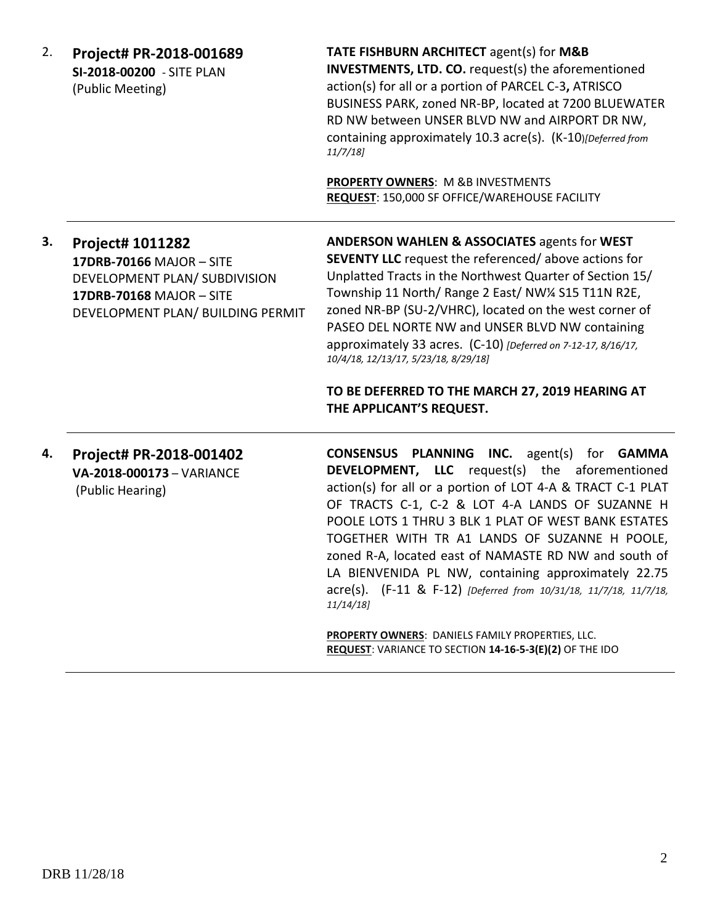| 2. | Project# PR-2018-001689<br>SI-2018-00200 - SITE PLAN<br>(Public Meeting)                                                                       | TATE FISHBURN ARCHITECT agent(s) for M&B<br><b>INVESTMENTS, LTD. CO.</b> request(s) the aforementioned<br>action(s) for all or a portion of PARCEL C-3, ATRISCO<br>BUSINESS PARK, zoned NR-BP, located at 7200 BLUEWATER<br>RD NW between UNSER BLVD NW and AIRPORT DR NW,<br>containing approximately 10.3 acre(s). (K-10)[Deferred from<br>11/7/18<br>PROPERTY OWNERS: M &B INVESTMENTS<br>REQUEST: 150,000 SF OFFICE/WAREHOUSE FACILITY                                                                                                                                                                                                                                                                                                                                                                                                                                                                                                                                  |
|----|------------------------------------------------------------------------------------------------------------------------------------------------|-----------------------------------------------------------------------------------------------------------------------------------------------------------------------------------------------------------------------------------------------------------------------------------------------------------------------------------------------------------------------------------------------------------------------------------------------------------------------------------------------------------------------------------------------------------------------------------------------------------------------------------------------------------------------------------------------------------------------------------------------------------------------------------------------------------------------------------------------------------------------------------------------------------------------------------------------------------------------------|
| з. | Project# 1011282<br>17DRB-70166 MAJOR - SITE<br>DEVELOPMENT PLAN/ SUBDIVISION<br>17DRB-70168 MAJOR - SITE<br>DEVELOPMENT PLAN/ BUILDING PERMIT | <b>ANDERSON WAHLEN &amp; ASSOCIATES agents for WEST</b><br><b>SEVENTY LLC</b> request the referenced/above actions for<br>Unplatted Tracts in the Northwest Quarter of Section 15/<br>Township 11 North/ Range 2 East/ NW1/4 S15 T11N R2E,<br>zoned NR-BP (SU-2/VHRC), located on the west corner of<br>PASEO DEL NORTE NW and UNSER BLVD NW containing<br>approximately 33 acres. (C-10) [Deferred on 7-12-17, 8/16/17,<br>10/4/18, 12/13/17, 5/23/18, 8/29/18]<br>TO BE DEFERRED TO THE MARCH 27, 2019 HEARING AT<br>THE APPLICANT'S REQUEST.                                                                                                                                                                                                                                                                                                                                                                                                                             |
| 4. | Project# PR-2018-001402<br>VA-2018-000173 - VARIANCE<br>(Public Hearing)                                                                       | CONSENSUS PLANNING INC.<br>agent(s) for <b>GAMMA</b><br><b>DEVELOPMENT, LLC</b> request(s) the aforementioned<br>action(s) for all or a portion of LOT 4-A & TRACT C-1 PLAT<br>OF TRACTS C-1, C-2 & LOT 4-A LANDS OF SUZANNE H<br>POOLE LOTS 1 THRU 3 BLK 1 PLAT OF WEST BANK ESTATES<br>TOGETHER WITH TR A1 LANDS OF SUZANNE H POOLE,<br>zoned R-A, located east of NAMASTE RD NW and south of<br>LA BIENVENIDA PL NW, containing approximately 22.75<br>acre(s). (F-11 & F-12) [Deferred from 10/31/18, 11/7/18, 11/7/18,<br>11/14/18<br>$\begin{array}{lll} \texttt{A} & \texttt{A} & \texttt{B} & \texttt{B} & \texttt{B} & \texttt{B} & \texttt{B} & \texttt{B} & \texttt{B} & \texttt{B} & \texttt{B} & \texttt{B} & \texttt{B} & \texttt{B} & \texttt{B} & \texttt{B} & \texttt{B} & \texttt{B} & \texttt{B} & \texttt{B} & \texttt{B} & \texttt{B} & \texttt{B} & \texttt{B} & \texttt{B} & \texttt{B} & \texttt{B} & \texttt{B} & \texttt{B} & \texttt{B} & \text$ |

**PROPERTY OWNERS**: DANIELS FAMILY PROPERTIES, LLC. **REQUEST**: VARIANCE TO SECTION **14-16-5-3(E)(2)** OF THE IDO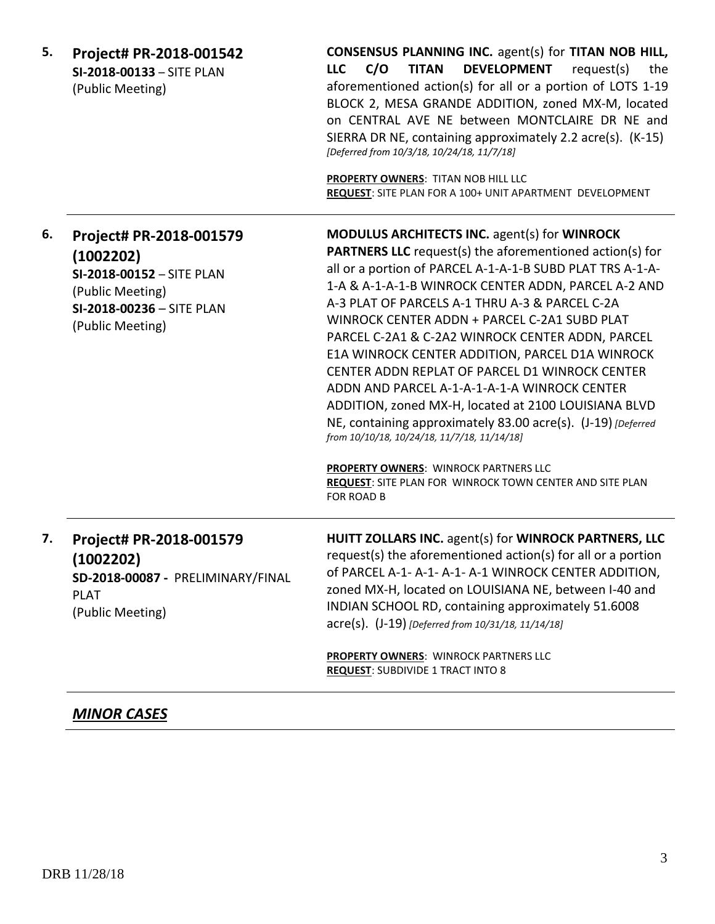| 5. | Project# PR-2018-001542<br>SI-2018-00133 - SITE PLAN<br>(Public Meeting)                                                               | <b>CONSENSUS PLANNING INC. agent(s) for TITAN NOB HILL,</b><br>C/O<br><b>TITAN</b><br><b>DEVELOPMENT</b><br>request(s)<br><b>LLC</b><br>the<br>aforementioned action(s) for all or a portion of LOTS 1-19<br>BLOCK 2, MESA GRANDE ADDITION, zoned MX-M, located<br>on CENTRAL AVE NE between MONTCLAIRE DR NE and<br>SIERRA DR NE, containing approximately 2.2 acre(s). (K-15)<br>[Deferred from 10/3/18, 10/24/18, 11/7/18]<br>PROPERTY OWNERS: TITAN NOB HILL LLC<br>REQUEST: SITE PLAN FOR A 100+ UNIT APARTMENT DEVELOPMENT                                                                                                                                                                                                                                                                                                                               |
|----|----------------------------------------------------------------------------------------------------------------------------------------|----------------------------------------------------------------------------------------------------------------------------------------------------------------------------------------------------------------------------------------------------------------------------------------------------------------------------------------------------------------------------------------------------------------------------------------------------------------------------------------------------------------------------------------------------------------------------------------------------------------------------------------------------------------------------------------------------------------------------------------------------------------------------------------------------------------------------------------------------------------|
| 6. | Project# PR-2018-001579<br>(1002202)<br>SI-2018-00152 - SITE PLAN<br>(Public Meeting)<br>SI-2018-00236 - SITE PLAN<br>(Public Meeting) | <b>MODULUS ARCHITECTS INC. agent(s) for WINROCK</b><br><b>PARTNERS LLC</b> request(s) the aforementioned action(s) for<br>all or a portion of PARCEL A-1-A-1-B SUBD PLAT TRS A-1-A-<br>1-A & A-1-A-1-B WINROCK CENTER ADDN, PARCEL A-2 AND<br>A-3 PLAT OF PARCELS A-1 THRU A-3 & PARCEL C-2A<br>WINROCK CENTER ADDN + PARCEL C-2A1 SUBD PLAT<br>PARCEL C-2A1 & C-2A2 WINROCK CENTER ADDN, PARCEL<br>E1A WINROCK CENTER ADDITION, PARCEL D1A WINROCK<br>CENTER ADDN REPLAT OF PARCEL D1 WINROCK CENTER<br>ADDN AND PARCEL A-1-A-1-A-1-A WINROCK CENTER<br>ADDITION, zoned MX-H, located at 2100 LOUISIANA BLVD<br>NE, containing approximately 83.00 acre(s). (J-19) [Deferred]<br>from 10/10/18, 10/24/18, 11/7/18, 11/14/18]<br><b>PROPERTY OWNERS: WINROCK PARTNERS LLC</b><br>REQUEST: SITE PLAN FOR WINROCK TOWN CENTER AND SITE PLAN<br><b>FOR ROAD B</b> |
| 7. | Project# PR-2018-001579<br>(1002202)<br>SD-2018-00087 - PRELIMINARY/FINAL<br><b>PLAT</b><br>(Public Meeting)                           | HUITT ZOLLARS INC. agent(s) for WINROCK PARTNERS, LLC<br>request(s) the aforementioned action(s) for all or a portion<br>of PARCEL A-1- A-1- A-1- A-1 WINROCK CENTER ADDITION,<br>zoned MX-H, located on LOUISIANA NE, between I-40 and<br>INDIAN SCHOOL RD, containing approximately 51.6008<br>acre(s). (J-19) [Deferred from 10/31/18, 11/14/18]                                                                                                                                                                                                                                                                                                                                                                                                                                                                                                            |
|    |                                                                                                                                        | <b>PROPERTY OWNERS: WINROCK PARTNERS LLC</b><br><b>REQUEST: SUBDIVIDE 1 TRACT INTO 8</b>                                                                                                                                                                                                                                                                                                                                                                                                                                                                                                                                                                                                                                                                                                                                                                       |

## *MINOR CASES*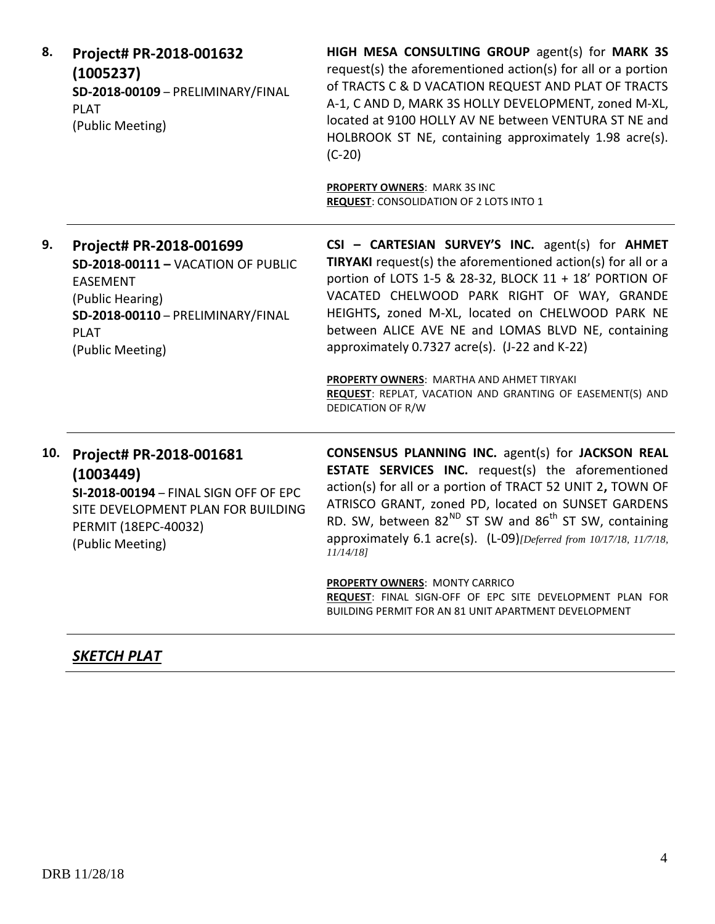| Project# PR-2018-001632<br>(1005237)<br>SD-2018-00109 - PRELIMINARY/FINAL<br><b>PLAT</b><br>(Public Meeting)                                                                 | HIGH MESA CONSULTING GROUP agent(s) for MARK 3S<br>request(s) the aforementioned action(s) for all or a portion<br>of TRACTS C & D VACATION REQUEST AND PLAT OF TRACTS<br>A-1, C AND D, MARK 3S HOLLY DEVELOPMENT, zoned M-XL,<br>located at 9100 HOLLY AV NE between VENTURA ST NE and<br>HOLBROOK ST NE, containing approximately 1.98 acre(s).<br>$(C-20)$<br>PROPERTY OWNERS: MARK 3S INC<br><b>REQUEST: CONSOLIDATION OF 2 LOTS INTO 1</b>                                                                                                                         |
|------------------------------------------------------------------------------------------------------------------------------------------------------------------------------|-------------------------------------------------------------------------------------------------------------------------------------------------------------------------------------------------------------------------------------------------------------------------------------------------------------------------------------------------------------------------------------------------------------------------------------------------------------------------------------------------------------------------------------------------------------------------|
| Project# PR-2018-001699<br>SD-2018-00111 - VACATION OF PUBLIC<br><b>EASEMENT</b><br>(Public Hearing)<br>SD-2018-00110 - PRELIMINARY/FINAL<br><b>PLAT</b><br>(Public Meeting) | CSI - CARTESIAN SURVEY'S INC. agent(s) for AHMET<br>TIRYAKI request(s) the aforementioned action(s) for all or a<br>portion of LOTS 1-5 & 28-32, BLOCK 11 + 18' PORTION OF<br>VACATED CHELWOOD PARK RIGHT OF WAY, GRANDE<br>HEIGHTS, zoned M-XL, located on CHELWOOD PARK NE<br>between ALICE AVE NE and LOMAS BLVD NE, containing<br>approximately 0.7327 acre(s). (J-22 and K-22)<br>PROPERTY OWNERS: MARTHA AND AHMET TIRYAKI<br>REQUEST: REPLAT, VACATION AND GRANTING OF EASEMENT(S) AND<br>DEDICATION OF R/W                                                      |
| Project# PR-2018-001681<br>(1003449)<br>SI-2018-00194 - FINAL SIGN OFF OF EPC<br>SITE DEVELOPMENT PLAN FOR BUILDING<br>PERMIT (18EPC-40032)<br>(Public Meeting)              | <b>CONSENSUS PLANNING INC.</b> agent(s) for JACKSON REAL<br><b>ESTATE SERVICES INC.</b> request(s) the aforementioned<br>action(s) for all or a portion of TRACT 52 UNIT 2, TOWN OF<br>ATRISCO GRANT, zoned PD, located on SUNSET GARDENS<br>RD. SW, between 82 <sup>ND</sup> ST SW and 86 <sup>th</sup> ST SW, containing<br>approximately 6.1 acre(s). (L-09) [Deferred from 10/17/18, 11/7/18,<br>$11/14/18$ ]<br>PROPERTY OWNERS: MONTY CARRICO<br>REQUEST: FINAL SIGN-OFF OF EPC SITE DEVELOPMENT PLAN FOR<br>BUILDING PERMIT FOR AN 81 UNIT APARTMENT DEVELOPMENT |
|                                                                                                                                                                              |                                                                                                                                                                                                                                                                                                                                                                                                                                                                                                                                                                         |

# *SKETCH PLAT*